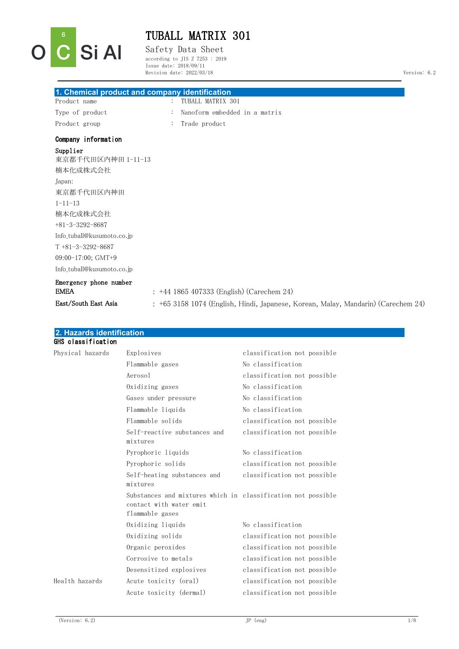

Safety Data Sheet according to JIS Z 7253 : 2019 Issue date: 2018/09/11 Revision date: 2022/03/18 Version: 6.2

| Product name                               |                | TUBALL MATRIX 301                                                                 |
|--------------------------------------------|----------------|-----------------------------------------------------------------------------------|
| Type of product                            |                | Nanoform embedded in a matrix                                                     |
| Product group                              | $\ddot{\cdot}$ | Trade product                                                                     |
| Company information                        |                |                                                                                   |
| Supplier<br>東京都千代田区内神田 1-11-13<br>楠本化成株式会社 |                |                                                                                   |
| Japan:                                     |                |                                                                                   |
| 東京都千代田区内神田                                 |                |                                                                                   |
| $1 - 11 - 13$                              |                |                                                                                   |
| 楠本化成株式会社                                   |                |                                                                                   |
| $+81-3-3292-8687$                          |                |                                                                                   |
| Info tuball@kusumoto.co.jp                 |                |                                                                                   |
| $T + 81 - 3 - 3292 - 8687$                 |                |                                                                                   |
| 09:00-17:00; GMT+9                         |                |                                                                                   |
| Info tuball@kusumoto.co.jp                 |                |                                                                                   |
| Emergency phone number<br><b>EMEA</b>      |                | $: +44$ 1865 407333 (English) (Carechem 24)                                       |
| East/South East Asia                       |                | : +65 3158 1074 (English, Hindi, Japanese, Korean, Malay, Mandarin) (Carechem 24) |

| z. Hazarus identification |                                                                                                            |                             |
|---------------------------|------------------------------------------------------------------------------------------------------------|-----------------------------|
| GHS classification        |                                                                                                            |                             |
| Physical hazards          | Explosives                                                                                                 | classification not possible |
|                           | Flammable gases                                                                                            | No classification           |
|                           | Aerosol                                                                                                    | classification not possible |
|                           | Oxidizing gases                                                                                            | No classification           |
|                           | Gases under pressure                                                                                       | No classification           |
|                           | Flammable liquids                                                                                          | No classification           |
|                           | Flammable solids                                                                                           | classification not possible |
|                           | Self-reactive substances and<br>mixtures                                                                   | classification not possible |
|                           | Pyrophoric liquids                                                                                         | No classification           |
|                           | Pyrophoric solids                                                                                          | classification not possible |
|                           | Self-heating substances and<br>mixtures                                                                    | classification not possible |
|                           | Substances and mixtures which in classification not possible<br>contact with water emit<br>flammable gases |                             |
|                           | Oxidizing liquids                                                                                          | No classification           |
|                           | Oxidizing solids                                                                                           | classification not possible |
|                           | Organic peroxides                                                                                          | classification not possible |
|                           | Corrosive to metals                                                                                        | classification not possible |
|                           | Desensitized explosives                                                                                    | classification not possible |
| Health hazards            | Acute toxicity (oral)                                                                                      | classification not possible |
|                           | Acute toxicity (dermal)                                                                                    | classification not possible |
|                           |                                                                                                            |                             |

**2. Hazards identification**

Si Al

 $O \nvert \nvert^6$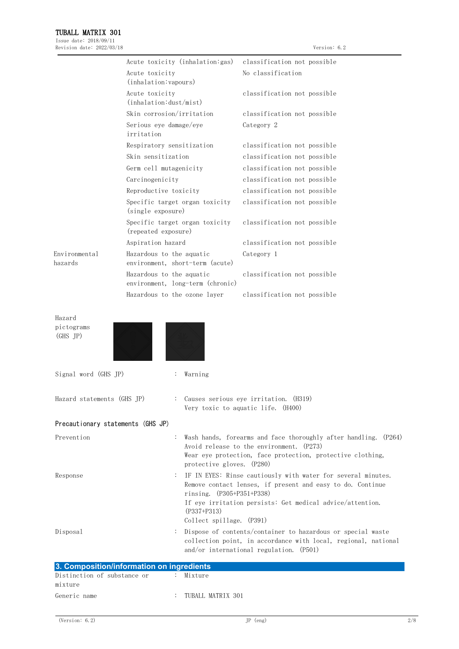| Revision date: 2022/03/18         |                                           |                                  |                                                                               | Version: 6.2                                                                                                                                                                            |
|-----------------------------------|-------------------------------------------|----------------------------------|-------------------------------------------------------------------------------|-----------------------------------------------------------------------------------------------------------------------------------------------------------------------------------------|
|                                   |                                           | Acute toxicity (inhalation: gas) | classification not possible                                                   |                                                                                                                                                                                         |
|                                   | Acute toxicity<br>(inhalation: vapours)   |                                  | No classification                                                             |                                                                                                                                                                                         |
|                                   | Acute toxicity<br>(inhalation: dust/mist) |                                  | classification not possible                                                   |                                                                                                                                                                                         |
|                                   | Skin corrosion/irritation                 |                                  | classification not possible                                                   |                                                                                                                                                                                         |
|                                   | Serious eye damage/eye<br>irritation      |                                  | Category 2                                                                    |                                                                                                                                                                                         |
|                                   | Respiratory sensitization                 |                                  | classification not possible                                                   |                                                                                                                                                                                         |
|                                   | Skin sensitization                        |                                  | classification not possible                                                   |                                                                                                                                                                                         |
|                                   | Germ cell mutagenicity                    |                                  | classification not possible                                                   |                                                                                                                                                                                         |
|                                   | Carcinogenicity                           |                                  | classification not possible                                                   |                                                                                                                                                                                         |
|                                   | Reproductive toxicity                     |                                  | classification not possible                                                   |                                                                                                                                                                                         |
|                                   | (single exposure)                         | Specific target organ toxicity   | classification not possible                                                   |                                                                                                                                                                                         |
|                                   | (repeated exposure)                       | Specific target organ toxicity   | classification not possible                                                   |                                                                                                                                                                                         |
|                                   | Aspiration hazard                         |                                  | classification not possible                                                   |                                                                                                                                                                                         |
| Environmental<br>hazards          | Hazardous to the aquatic                  | environment, short-term (acute)  | Category 1                                                                    |                                                                                                                                                                                         |
|                                   | Hazardous to the aquatic                  | environment, long-term (chronic) | classification not possible                                                   |                                                                                                                                                                                         |
|                                   |                                           | Hazardous to the ozone layer     | classification not possible                                                   |                                                                                                                                                                                         |
| Hazard<br>pictograms<br>(GHS JP)  |                                           |                                  |                                                                               |                                                                                                                                                                                         |
| Signal word (GHS JP)              |                                           | Warning                          |                                                                               |                                                                                                                                                                                         |
| Hazard statements (GHS JP)        |                                           |                                  | : Causes serious eye irritation. (H319)<br>Very toxic to aquatic life. (H400) |                                                                                                                                                                                         |
| Precautionary statements (GHS JP) |                                           |                                  |                                                                               |                                                                                                                                                                                         |
| Prevention                        |                                           | protective gloves. (P280)        | Avoid release to the environment. (P273)                                      | Wash hands, forearms and face thoroughly after handling. (P264)<br>Wear eye protection, face protection, protective clothing,                                                           |
| Response                          |                                           | rinsing. (P305+P351+P338)        |                                                                               | IF IN EYES: Rinse cautiously with water for several minutes.<br>Remove contact lenses, if present and easy to do. Continue<br>If eye irritation persists: Get medical advice/attention. |

Disposal : Dispose of contents/container to hazardous or special waste collection point, in accordance with local, regional, national and/or international regulation. (P501)

Collect spillage. (P391)

(P337+P313)

| 3. Composition/information on ingredients |  |                     |  |  |
|-------------------------------------------|--|---------------------|--|--|
| Distinction of substance or               |  | : Mixture           |  |  |
| mixture                                   |  |                     |  |  |
| Generic name                              |  | : TUBALL MATRIX 301 |  |  |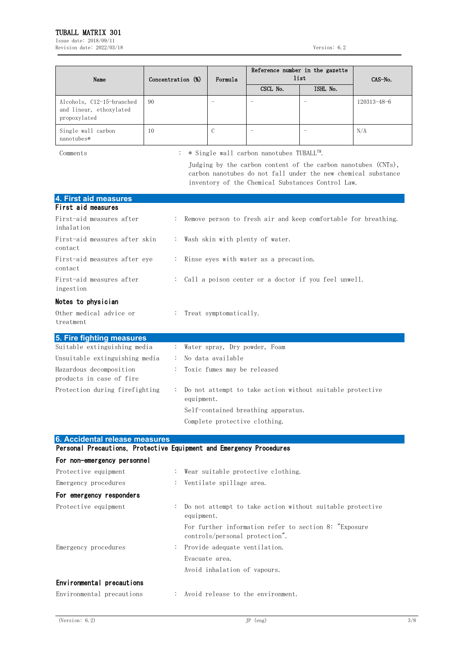Issue date: 2018/09/11 Revision date: 2022/03/18 Version: 6.2

| Concentration (%)<br>Name                                            |    | Formula | Reference number in the gazette<br>list | CAS-No.  |                   |
|----------------------------------------------------------------------|----|---------|-----------------------------------------|----------|-------------------|
|                                                                      |    |         | CSCL No.                                | ISHL No. |                   |
| Alcohols, C12-15-branched<br>and linear, ethoxylated<br>propoxylated | 90 |         |                                         |          | $120313 - 48 - 6$ |
| Single wall carbon<br>nanotubes*                                     | 10 | C       |                                         |          | N/A               |

Comments : \* Single wall carbon nanotubes TUBALLTM .

Judging by the carbon content of the carbon nanotubes (CNTs), carbon nanotubes do not fall under the new chemical substance inventory of the Chemical Substances Control Law.

| 4. First aid measures                                               |                |                                                                         |
|---------------------------------------------------------------------|----------------|-------------------------------------------------------------------------|
| First aid measures                                                  |                |                                                                         |
| First-aid measures after<br>inhalation                              |                | Remove person to fresh air and keep comfortable for breathing.          |
| First-aid measures after skin<br>contact                            |                | : Wash skin with plenty of water.                                       |
| First-aid measures after eye<br>contact                             |                | Rinse eyes with water as a precaution.                                  |
| First-aid measures after<br>ingestion                               |                | Call a poison center or a doctor if you feel unwell.                    |
| Notes to physician                                                  |                |                                                                         |
| Other medical advice or<br>treatment                                |                | Treat symptomatically.                                                  |
| 5. Fire fighting measures                                           |                |                                                                         |
| Suitable extinguishing media                                        | ÷              | Water spray, Dry powder, Foam                                           |
| Unsuitable extinguishing media                                      | $\ddot{\cdot}$ | No data available                                                       |
| Hazardous decomposition<br>products in case of fire                 |                | Toxic fumes may be released                                             |
| Protection during firefighting                                      | ÷              | Do not attempt to take action without suitable protective<br>equipment. |
|                                                                     |                | Self-contained breathing apparatus.                                     |
|                                                                     |                | Complete protective clothing.                                           |
| 6. Accidental release measures                                      |                |                                                                         |
| Personal Precautions, Protective Equipment and Emergency Procedures |                |                                                                         |
| For non-emergency personnel                                         |                |                                                                         |
| Protective equipment                                                |                | Wear suitable protective clothing.                                      |
| Emergency procedures                                                |                | Ventilate spillage area.                                                |
| For emergency responders                                            |                |                                                                         |
| Protective equipment                                                |                | Do not attempt to take action without suitable protective<br>equipment. |

Emergency procedures : Provide adequate ventilation.

# Environmental precautions

| Environmental precautions |  |  |  | Avoid release to the environment. |
|---------------------------|--|--|--|-----------------------------------|

controls/personal protection".

Avoid inhalation of vapours.

Evacuate area.

For further information refer to section 8: "Exposure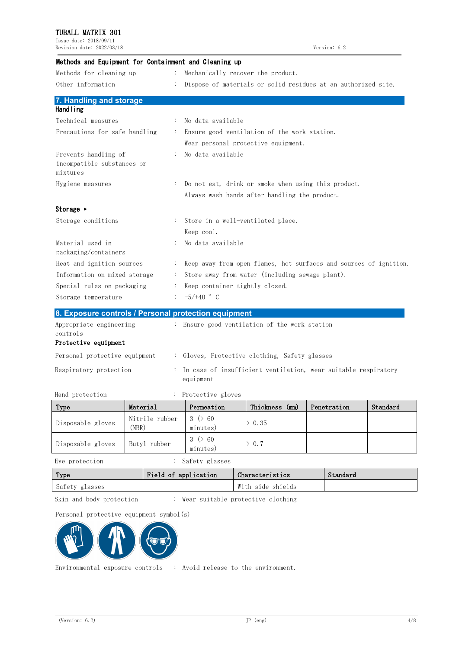Issue date: 2018/09/11 Revision date: 2022/03/18 Version: 6.2

| Methods and Equipment for Containment and Cleaning up          |                |                                                                   |
|----------------------------------------------------------------|----------------|-------------------------------------------------------------------|
| Methods for cleaning up                                        | $\ddot{\cdot}$ | Mechanically recover the product.                                 |
| Other information                                              |                | Dispose of materials or solid residues at an authorized site.     |
| 7. Handling and storage                                        |                |                                                                   |
| <b>Handling</b>                                                |                |                                                                   |
| Technical measures                                             |                | No data available                                                 |
| Precautions for safe handling                                  |                | Ensure good ventilation of the work station.                      |
|                                                                |                | Wear personal protective equipment.                               |
| Prevents handling of<br>incompatible substances or<br>mixtures |                | No data available                                                 |
| Hygiene measures                                               |                | Do not eat, drink or smoke when using this product.               |
|                                                                |                | Always wash hands after handling the product.                     |
| Storage $\blacktriangleright$                                  |                |                                                                   |
| Storage conditions                                             |                | Store in a well-ventilated place.                                 |
|                                                                |                | Keep cool.                                                        |
| Material used in<br>packaging/containers                       |                | No data available                                                 |
| Heat and ignition sources                                      |                | Keep away from open flames, hot surfaces and sources of ignition. |
| Information on mixed storage                                   |                | Store away from water (including sewage plant).                   |
| Special rules on packaging                                     |                | Keep container tightly closed.                                    |
| Storage temperature                                            |                | $-5/+40$ ° C                                                      |
| 8. Exposure controls / Personal protection equipment           |                |                                                                   |
| Appropriate engineering<br>controls<br>Protective equipment    |                | : Ensure good ventilation of the work station                     |

| Personal protective equipment | : Gloves, Protective clothing, Safety glasses                                 |
|-------------------------------|-------------------------------------------------------------------------------|
| Respiratory protection        | : In case of insufficient ventilation, wear suitable respiratory<br>equipment |

Hand protection : Protective gloves

| Type              | Material                | Permeation                | Thickness (mm) | Penetration | Standard |
|-------------------|-------------------------|---------------------------|----------------|-------------|----------|
| Disposable gloves | Nitrile rubber<br>(NBR) | $3 \times 60$<br>minutes) | 0.35           |             |          |
| Disposable gloves | Butyl rubber            | $3 \times 60$<br>minutes) | 0.7            |             |          |

Eye protection : Safety glasses

| Type           | Field of application | Characteristics   | Standard |
|----------------|----------------------|-------------------|----------|
| Safety glasses |                      | With side shields |          |

Skin and body protection : Wear suitable protective clothing

Personal protective equipment symbol(s)



Environmental exposure controls : Avoid release to the environment.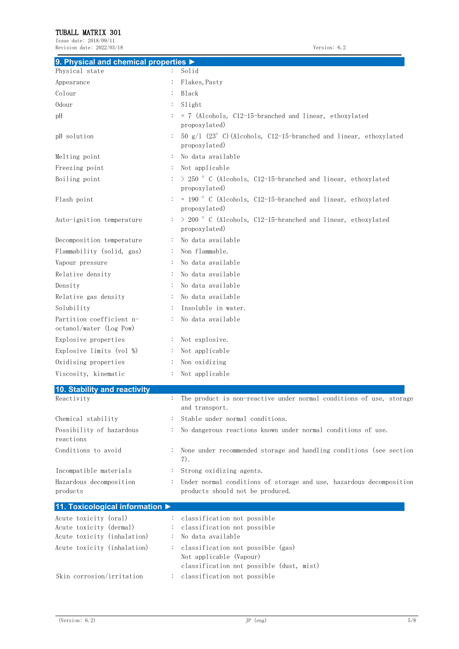Issue date: 2018/09/11 Revision date: 2022/03/18 Version: 6.2

| 9. Physical and chemical properties $\blacktriangleright$ |                                                              |                                                                      |
|-----------------------------------------------------------|--------------------------------------------------------------|----------------------------------------------------------------------|
| Physical state                                            | Solid                                                        |                                                                      |
| Appearance                                                | Flakes, Pasty                                                |                                                                      |
| Colour                                                    | Black                                                        |                                                                      |
| 0dour                                                     | $\ddot{\cdot}$<br>Slight                                     |                                                                      |
| pH                                                        | propoxylated)                                                | $\approx$ 7 (Alcohols, C12-15-branched and linear, ethoxylated       |
| pH solution                                               | propoxylated)                                                | 50 $g/1$ (23° C) (Alcohols, C12-15-branched and linear, ethoxylated  |
| Melting point                                             | No data available<br>:                                       |                                                                      |
| Freezing point                                            | Not applicable<br>$\ddot{\cdot}$                             |                                                                      |
| Boiling point                                             | propoxylated)                                                | $>$ 250 ° C (Alcohols, C12-15-branched and linear, ethoxylated       |
| Flash point                                               | propoxylated)                                                | $\approx$ 190 ° C (Alcohols, C12-15-branched and linear, ethoxylated |
| Auto-ignition temperature                                 | propoxylated)                                                | > 200 ° C (Alcohols, C12-15-branched and linear, ethoxylated         |
| Decomposition temperature                                 | No data available<br>$\ddot{\cdot}$                          |                                                                      |
| Flammability (solid, gas)                                 | Non flammable.<br>$\ddot{\cdot}$                             |                                                                      |
| Vapour pressure                                           | No data available<br>:                                       |                                                                      |
| Relative density                                          | No data available<br>$\ddot{\cdot}$                          |                                                                      |
| Density                                                   | No data available                                            |                                                                      |
| Relative gas density                                      | No data available<br>$\ddot{\cdot}$                          |                                                                      |
| Solubility                                                | Insoluble in water.<br>$\ddot{\cdot}$                        |                                                                      |
| Partition coefficient n-<br>octanol/water (Log Pow)       | No data available                                            |                                                                      |
| Explosive properties                                      | Not explosive.<br>$\ddot{\cdot}$                             |                                                                      |
| Explosive limits (vol %)                                  | Not applicable<br>$\ddot{\cdot}$                             |                                                                      |
| Oxidising properties                                      | Non oxidizing<br>$\ddot{\cdot}$                              |                                                                      |
| Viscosity, kinematic                                      | Not applicable                                               |                                                                      |
| 10. Stability and reactivity                              |                                                              |                                                                      |
| Reactivity                                                | $\ddot{\cdot}$<br>and transport.                             | The product is non-reactive under normal conditions of use, storage  |
| Chemical stability                                        | Stable under normal conditions.                              |                                                                      |
| Possibility of hazardous<br>reactions                     |                                                              | No dangerous reactions known under normal conditions of use.         |
| Conditions to avoid                                       | $\ddot{\cdot}$<br>7).                                        | None under recommended storage and handling conditions (see section  |
| Incompatible materials                                    | Strong oxidizing agents.<br>$\ddot{\cdot}$                   |                                                                      |
| Hazardous decomposition<br>products                       | $\ddot{\cdot}$<br>products should not be produced.           | Under normal conditions of storage and use, hazardous decomposition  |
| 11. Toxicological information ▶                           |                                                              |                                                                      |
| Acute toxicity (oral)                                     | classification not possible<br>$\ddot{\cdot}$                |                                                                      |
| Acute toxicity (dermal)                                   | classification not possible                                  |                                                                      |
| Acute toxicity (inhalation)                               | No data available                                            |                                                                      |
| Acute toxicity (inhalation)                               | classification not possible (gas)<br>Not applicable (Vapour) | classification not possible (dust, mist)                             |
| Skin corrosion/irritation                                 | classification not possible<br>$\ddot{\cdot}$                |                                                                      |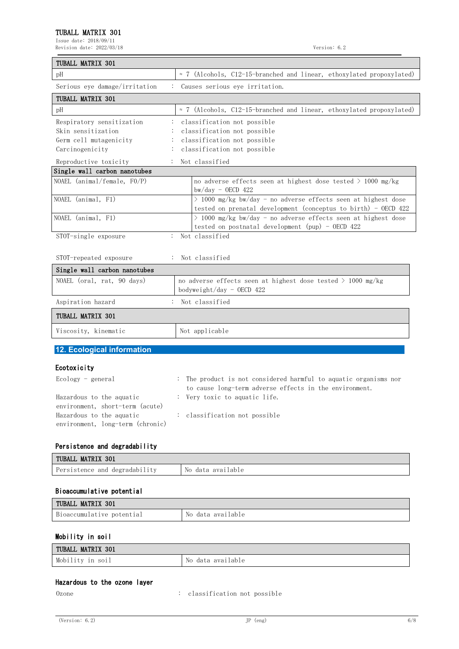Issue date: 2018/09/11 Revision date: 2022/03/18 Version: 6.2

| TUBALL MATRIX 301                                                                                                                                                 |                                                                                                                                                                                            |  |
|-------------------------------------------------------------------------------------------------------------------------------------------------------------------|--------------------------------------------------------------------------------------------------------------------------------------------------------------------------------------------|--|
| pH                                                                                                                                                                | $\approx$ 7 (Alcohols, C12-15-branched and linear, ethoxylated propoxylated)                                                                                                               |  |
| Serious eye damage/irritation                                                                                                                                     | : Causes serious eye irritation.                                                                                                                                                           |  |
| TUBALL MATRIX 301                                                                                                                                                 |                                                                                                                                                                                            |  |
| pH                                                                                                                                                                | $\approx$ 7 (Alcohols, C12-15-branched and linear, ethoxylated propoxylated)                                                                                                               |  |
| Respiratory sensitization<br>Skin sensitization<br>Germ cell mutagenicity<br>Carcinogenicity<br>Reproductive toxicity                                             | classification not possible<br>classification not possible<br>classification not possible<br>classification not possible<br>Not classified                                                 |  |
| Single wall carbon nanotubes                                                                                                                                      |                                                                                                                                                                                            |  |
| NOAEL (animal/female, FO/P)                                                                                                                                       | no adverse effects seen at highest dose tested $>$ 1000 mg/kg<br>$bw/day - OECD 422$                                                                                                       |  |
| NOAEL (animal, F1)                                                                                                                                                | $>$ 1000 mg/kg bw/day - no adverse effects seen at highest dose<br>tested on prenatal development (conceptus to birth) - OECD 422                                                          |  |
| NOAEL (animal, F1)                                                                                                                                                | $\geq$ 1000 mg/kg bw/day - no adverse effects seen at highest dose<br>tested on postnatal development (pup) - OECD $422$                                                                   |  |
| STOT-single exposure                                                                                                                                              | : Not classified                                                                                                                                                                           |  |
| STOT-repeated exposure                                                                                                                                            | Not classified                                                                                                                                                                             |  |
| Single wall carbon nanotubes                                                                                                                                      |                                                                                                                                                                                            |  |
| NOAEL (oral, rat, 90 days)                                                                                                                                        | no adverse effects seen at highest dose tested $> 1000$ mg/kg<br>bodyweight/day - OECD 422                                                                                                 |  |
| Aspiration hazard                                                                                                                                                 | : Not classified                                                                                                                                                                           |  |
| TUBALL MATRIX 301                                                                                                                                                 |                                                                                                                                                                                            |  |
| Viscosity, kinematic                                                                                                                                              | Not applicable                                                                                                                                                                             |  |
| 12. Ecological information                                                                                                                                        |                                                                                                                                                                                            |  |
| Ecotoxicity<br>$Ecology - general$<br>Hazardous to the aquatic<br>environment, short-term (acute)<br>Hazardous to the aquatic<br>environment, long-term (chronic) | The product is not considered harmful to aquatic organisms nor<br>to cause long-term adverse effects in the environment.<br>: Very toxic to aquatic life.<br>: classification not possible |  |
| Persistence and degradability                                                                                                                                     |                                                                                                                                                                                            |  |
| TUBALL MATRIX 301                                                                                                                                                 |                                                                                                                                                                                            |  |
| Persistence and degradability                                                                                                                                     | No data available                                                                                                                                                                          |  |

#### Bioaccumulative potential

| TUBALL MATRIX 301         |                   |
|---------------------------|-------------------|
| Bioaccumulative potential | No data available |

## Mobility in soil

| <b>MATRIX</b><br>301<br>TUBALL |                              |
|--------------------------------|------------------------------|
| Mobi<br>SO1<br>1n<br>1111V     | lable<br>ava 1<br>Νo<br>data |

#### Hazardous to the ozone layer

Ozone : classification not possible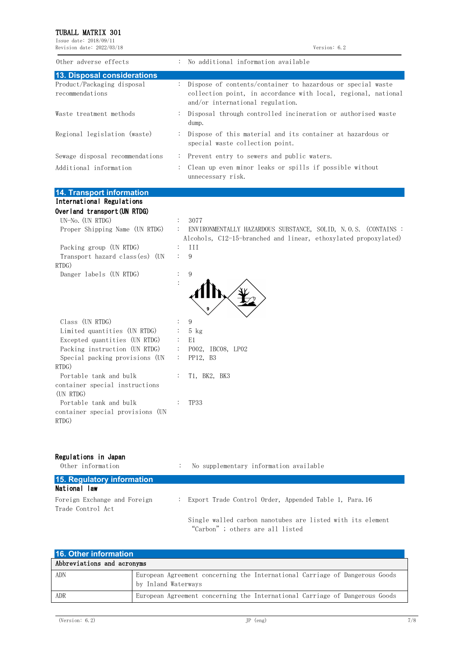Issue date: 2018/09/11 Revision date: 2022/03/18 Version: 6.2

| Dispose of contents/container to hazardous or special waste<br>collection point, in accordance with local, regional, national |
|-------------------------------------------------------------------------------------------------------------------------------|
| Disposal through controlled incineration or authorised waste                                                                  |
| : Dispose of this material and its container at hazardous or                                                                  |
| : Prevent entry to sewers and public waters.<br>: Clean up even minor leaks or spills if possible without                     |
|                                                                                                                               |

#### **14. Transport information** International Regulations

| Overland transport (UN RTDG)<br>$UN-No.$ (UN RTDG)                    | 3077<br>$\mathcal{L}_{\mathrm{max}}$                                                                                                                             |
|-----------------------------------------------------------------------|------------------------------------------------------------------------------------------------------------------------------------------------------------------|
| Proper Shipping Name (UN RTDG)                                        | ENVIRONMENTALLY HAZARDOUS SUBSTANCE, SOLID, N.O.S. (CONTAINS:<br>$\mathcal{L}_{\mathrm{max}}$<br>Alcohols, C12-15-branched and linear, ethoxylated propoxylated) |
| Packing group (UN RTDG)                                               | <b>III</b><br>$\mathbb{R}^n$                                                                                                                                     |
| Transport hazard class(es) (UN<br>RTDG)                               | 9                                                                                                                                                                |
| Danger labels (UN RTDG)                                               | 9<br>$\ddot{\cdot}$                                                                                                                                              |
| Class (UN RTDG)                                                       | 9<br>÷                                                                                                                                                           |
| Limited quantities (UN RTDG)                                          | $5$ kg                                                                                                                                                           |
| Excepted quantities (UN RTDG)                                         | E1<br>$\mathcal{L}_{\mathrm{max}}$                                                                                                                               |
| Packing instruction (UN RTDG)                                         | P002, IBC08, LP02<br>$\mathcal{L}_{\rm{max}}$                                                                                                                    |
| Special packing provisions (UN                                        | PP12, B3<br>$\mathcal{L}_{\mathrm{max}}$                                                                                                                         |
| RTDG)                                                                 |                                                                                                                                                                  |
| Portable tank and bulk<br>container special instructions<br>(UN RTDG) | T1, BK2, BK3                                                                                                                                                     |
| Portable tank and bulk<br>container special provisions (UN<br>RTDG)   | TP33                                                                                                                                                             |

#### Regulations in Japan

| Other information                                 | No supplementary information available<br>÷                                                   |  |
|---------------------------------------------------|-----------------------------------------------------------------------------------------------|--|
| 15. Regulatory information                        |                                                                                               |  |
| National law                                      |                                                                                               |  |
| Foreign Exchange and Foreign<br>Trade Control Act | : Export Trade Control Order, Appended Table 1, Para.16                                       |  |
|                                                   | Single walled carbon nanotubes are listed with its element<br>"Carbon"; others are all listed |  |

| 16. Other information      |                                                                                                    |  |
|----------------------------|----------------------------------------------------------------------------------------------------|--|
| Abbreviations and acronyms |                                                                                                    |  |
| <b>ADN</b>                 | European Agreement concerning the International Carriage of Dangerous Goods<br>by Inland Waterways |  |
| ADR                        | European Agreement concerning the International Carriage of Dangerous Goods                        |  |